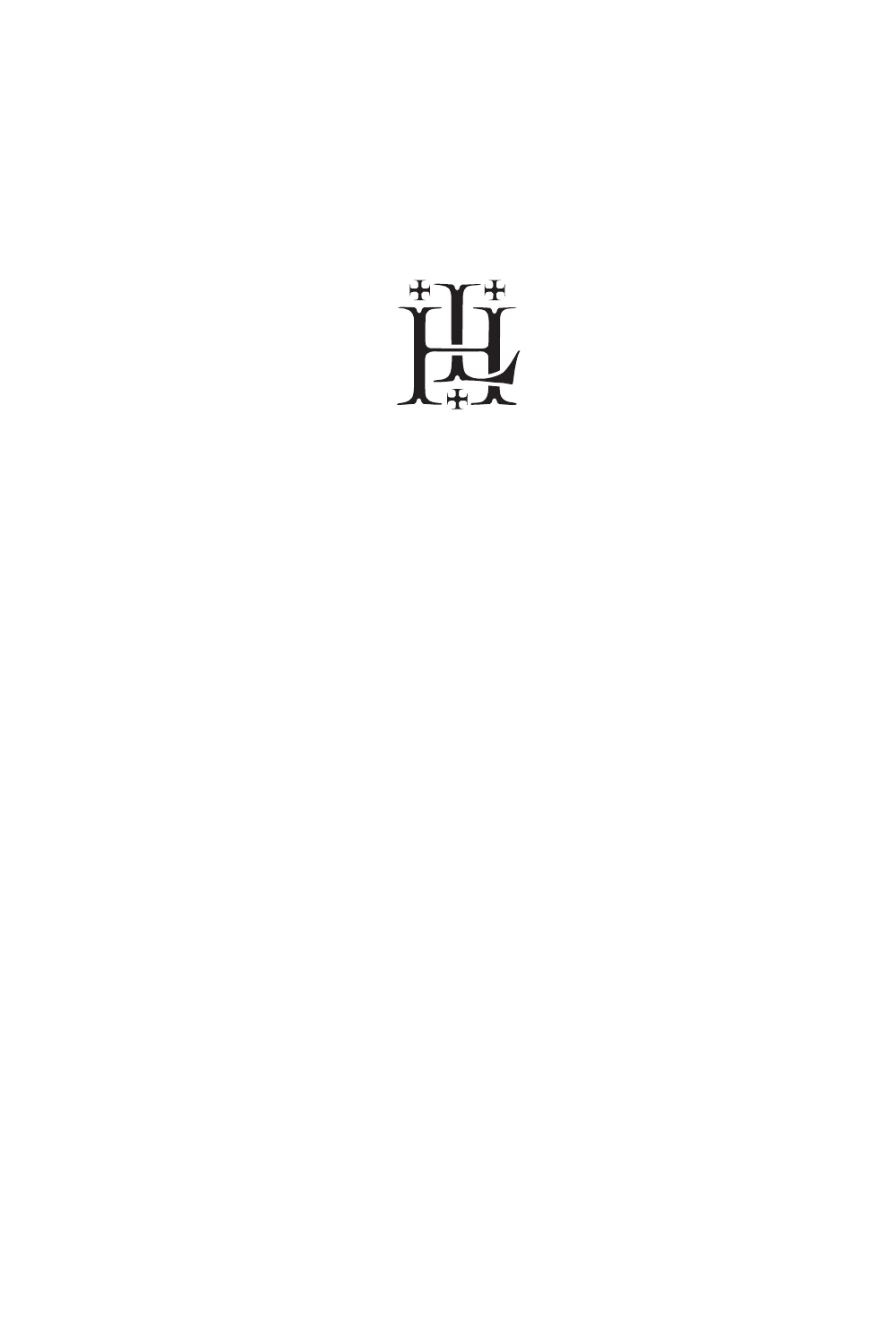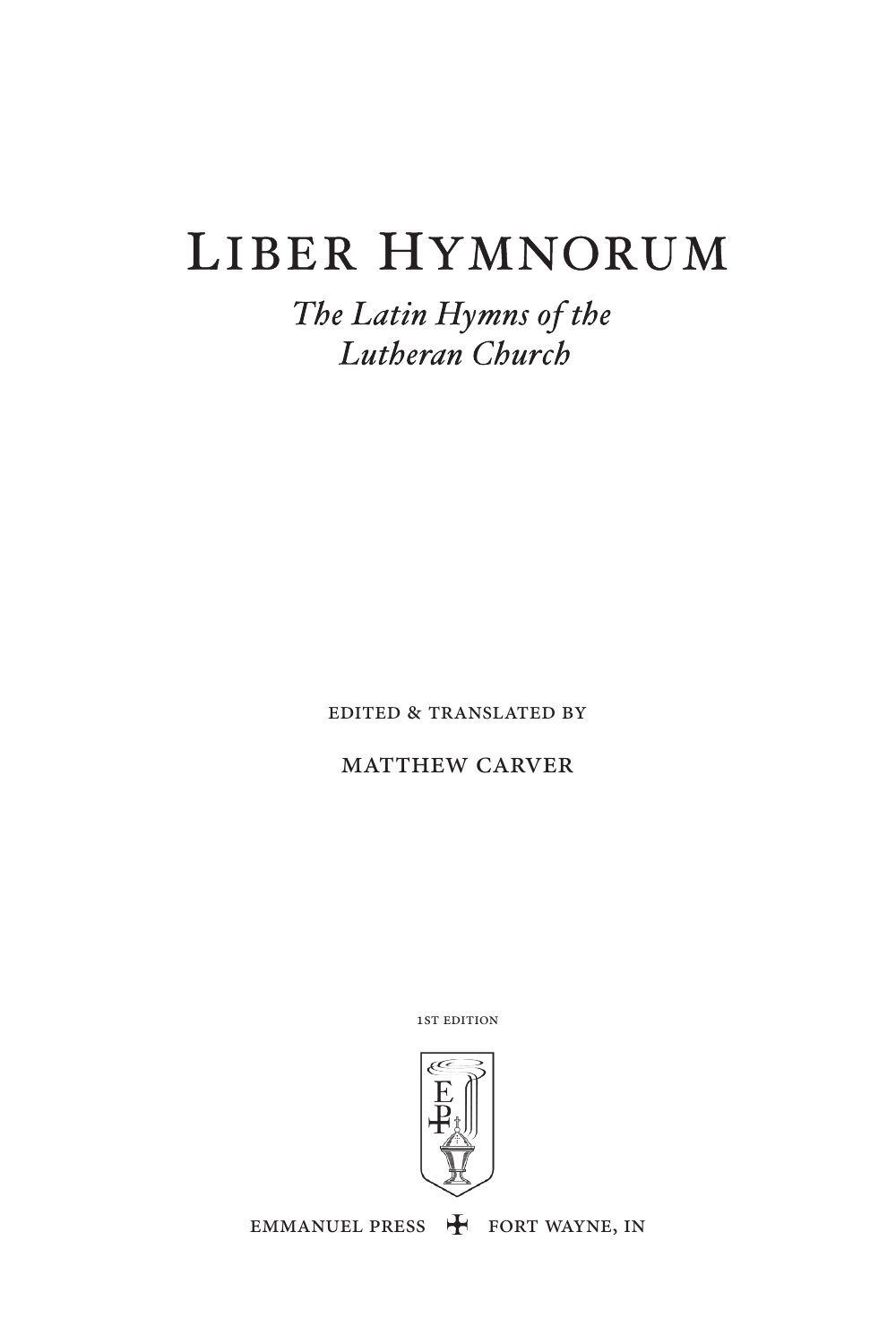The Latin Hymns of the Lutheran Church

edited & translated by

matthew carver

1ST EDITION



EMMANUEL PRESS  $\bigoplus$  FORT WAYNE, IN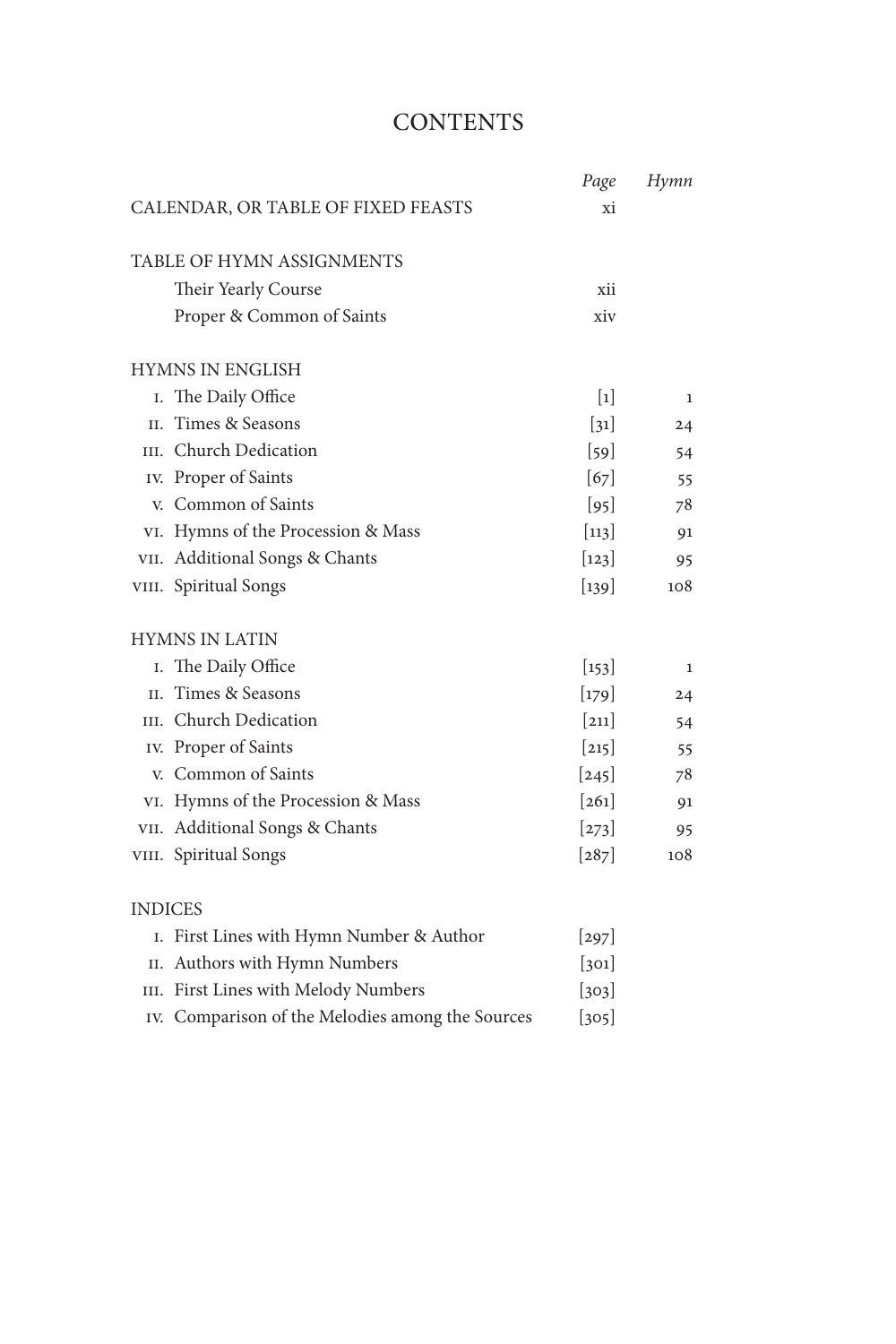# **CONTENTS**

|                |                                          | Page                               | Hymn         |
|----------------|------------------------------------------|------------------------------------|--------------|
|                | CALENDAR, OR TABLE OF FIXED FEASTS       | xi                                 |              |
|                | <b>TABLE OF HYMN ASSIGNMENTS</b>         |                                    |              |
|                | Their Yearly Course                      | xii                                |              |
|                | Proper & Common of Saints                | xiv                                |              |
|                | <b>HYMNS IN ENGLISH</b>                  |                                    |              |
|                | I. The Daily Office                      | $\lceil 1 \rceil$                  | $\mathbf{1}$ |
| H.             | Times & Seasons                          | $\begin{bmatrix} 31 \end{bmatrix}$ | 24           |
|                | III. Church Dedication                   | $\lceil 59 \rceil$                 | 54           |
|                | IV. Proper of Saints                     | $\left[67\right]$                  | 55           |
|                | v. Common of Saints                      | $\lceil 95 \rceil$                 | 78           |
| VI.            | Hymns of the Procession & Mass           | $\left[113\right]$                 | 91           |
|                | VII. Additional Songs & Chants           | $[123]$                            | 95           |
|                | VIII. Spiritual Songs                    | $[139]$                            | 108          |
|                | <b>HYMNS IN LATIN</b>                    |                                    |              |
| I.             | The Daily Office                         | $[153]$                            | $\mathbf{1}$ |
| H.             | Times & Seasons                          | $[179]$                            | 24           |
|                | III. Church Dedication                   | $\lceil 211 \rceil$                | 54           |
|                | IV. Proper of Saints                     | $[215]$                            | 55           |
|                | v. Common of Saints                      | $[245]$                            | 78           |
|                | VI. Hymns of the Procession & Mass       | $\left[261\right]$                 | 91           |
|                | VII. Additional Songs & Chants           | $[273]$                            | 95           |
|                | VIII. Spiritual Songs                    | $[287]$                            | 108          |
| <b>INDICES</b> |                                          |                                    |              |
|                | I. First Lines with Hymn Number & Author | $\left[297\right]$                 |              |

III. First Lines with Melody Numbers [303] iv. Comparison of the Melodies among the Sources  $[\,\,]$  305]

II. Authors with Hymn Numbers [301]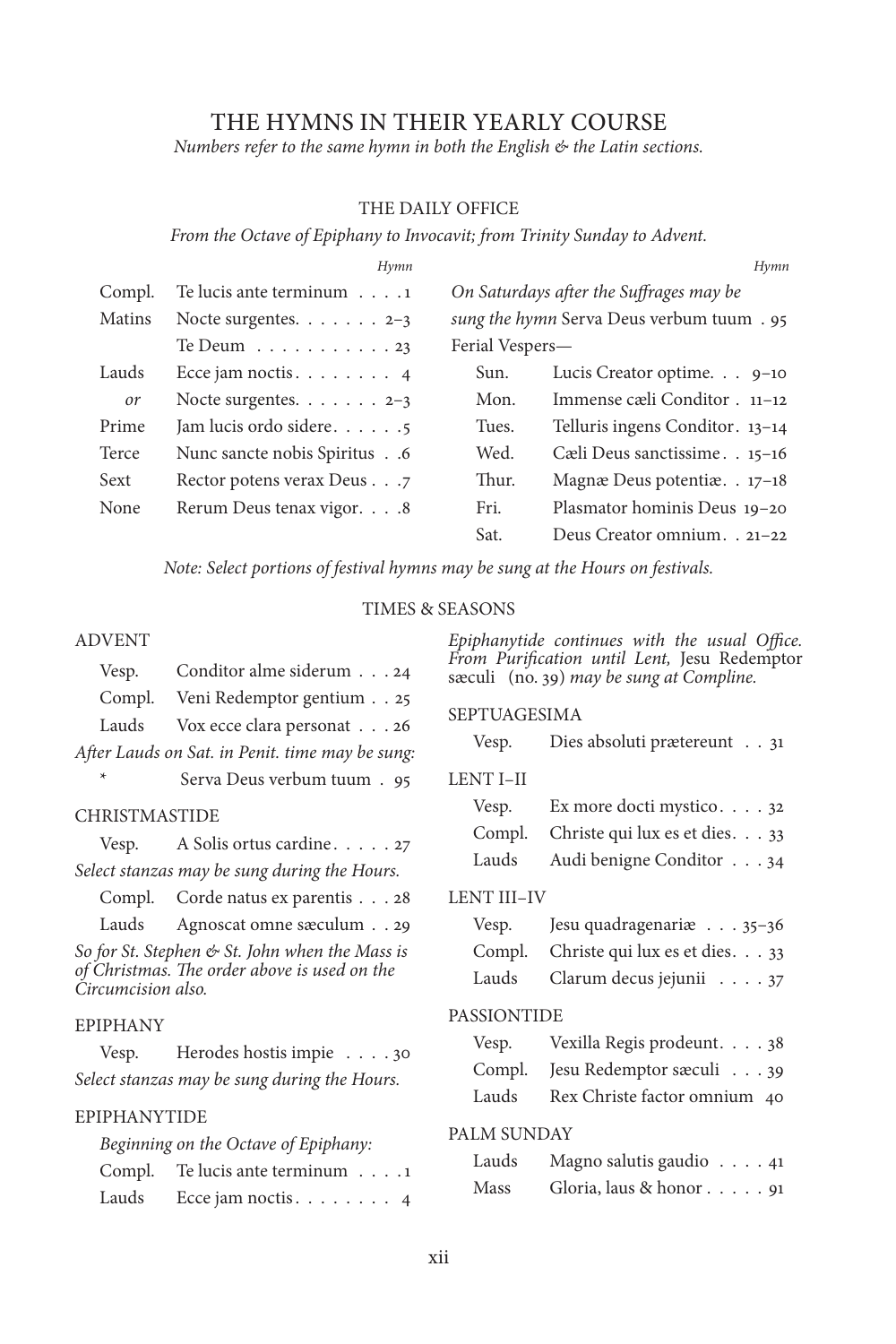# THE HYMNS IN THEIR YEARLY COURSE

Numbers refer to the same hymn in both the English  $\mathfrak{G}$  the Latin sections.

#### THE DAILY OFFICE

From the Octave of Epiphany to Invocavit; from Trinity Sunday to Advent.

 Hymn Compl. Te lucis ante terminum . . . . 1 Matins Nocte surgentes. . . . . . . 2–3 Te Deum . . . . . . . . . . . 23 Lauds Ecce jam noctis. . . . . . . . 4 or Nocte surgentes. . . . . . . 2–3 Prime Jam lucis ordo sidere. . . . . . . 5 Terce Nunc sancte nobis Spiritus . .6 Sext Rector potens verax Deus . . .7 None Rerum Deus tenax vigor. . . . 8 Hymn On Saturdays after the Suffrages may be sung the hymn Serva Deus verbum tuum . 95 Ferial Vespers— Sun. Lucis Creator optime. . . 9–10 Mon. Immense cæli Conditor . 11–12 Tues. Telluris ingens Conditor. 13–14 Wed. Cæli Deus sanctissime. . 15-16 Thur. Magnæ Deus potentiæ. . 17–18 Fri. Plasmator hominis Deus 19–20 Sat. Deus Creator omnium. . 21–22

Note: Select portions of festival hymns may be sung at the Hours on festivals.

#### TIMES & SEASONS

#### ADVENT

| Vesp.  | Conditor alme siderum 24                        |
|--------|-------------------------------------------------|
| Compl. | Veni Redemptor gentium 25                       |
| Lauds  | Vox ecce clara personat 26                      |
|        | After Lauds on Sat. in Penit. time may be sung: |

Serva Deus verbum tuum . 95

### CHRISTMASTIDE

Vesp. A Solis ortus cardine . . . . . 27 Select stanzas may be sung during the Hours.

Compl. Corde natus ex parentis . . . 28 Lauds Agnoscat omne sæculum . . 29

So for St. Stephen & St. John when the Mass is of Christmas. The order above is used on the Circumcision also.

#### EPIPHANY

Vesp. Herodes hostis impie . . . . 30 Select stanzas may be sung during the Hours.

#### EPIPHANYTIDE

| Beginning on the Octave of Epiphany:  |
|---------------------------------------|
| Compl. Te lucis ante terminum $\dots$ |
| Lauds Ecce jam noctis 4               |

Epiphanytide continues with the usual Office. From Purification until Lent, Jesu Redemptor sæculi (no. 39) may be sung at Compline.

#### SEPTUAGESIMA

Vesp. Dies absoluti prætereunt . . 31

#### LENT I–II

| Vesp.              | Ex more docti mystico. $\ldots$ 32 |
|--------------------|------------------------------------|
| Compl.             | Christe qui lux es et dies. 33     |
| Lauds              | Audi benigne Conditor 34           |
| <b>LENT III-IV</b> |                                    |
| Vesp.              | Jesu quadragenariæ 35-36           |
| Compl.             | Christe qui lux es et dies. 33     |
| Lauds              | Clarum decus jejunii 37            |
|                    |                                    |

#### PASSIONTIDE

Vesp. Vexilla Regis prodeunt. . . . 38 Compl. Jesu Redemptor sæculi . . . 39 Lauds Rex Christe factor omnium 40

#### PALM SUNDAY

| Lauds | Magno salutis gaudio $\ldots$ 41   |  |  |  |
|-------|------------------------------------|--|--|--|
| Mass  | Gloria, laus & honor $\ldots$ , 91 |  |  |  |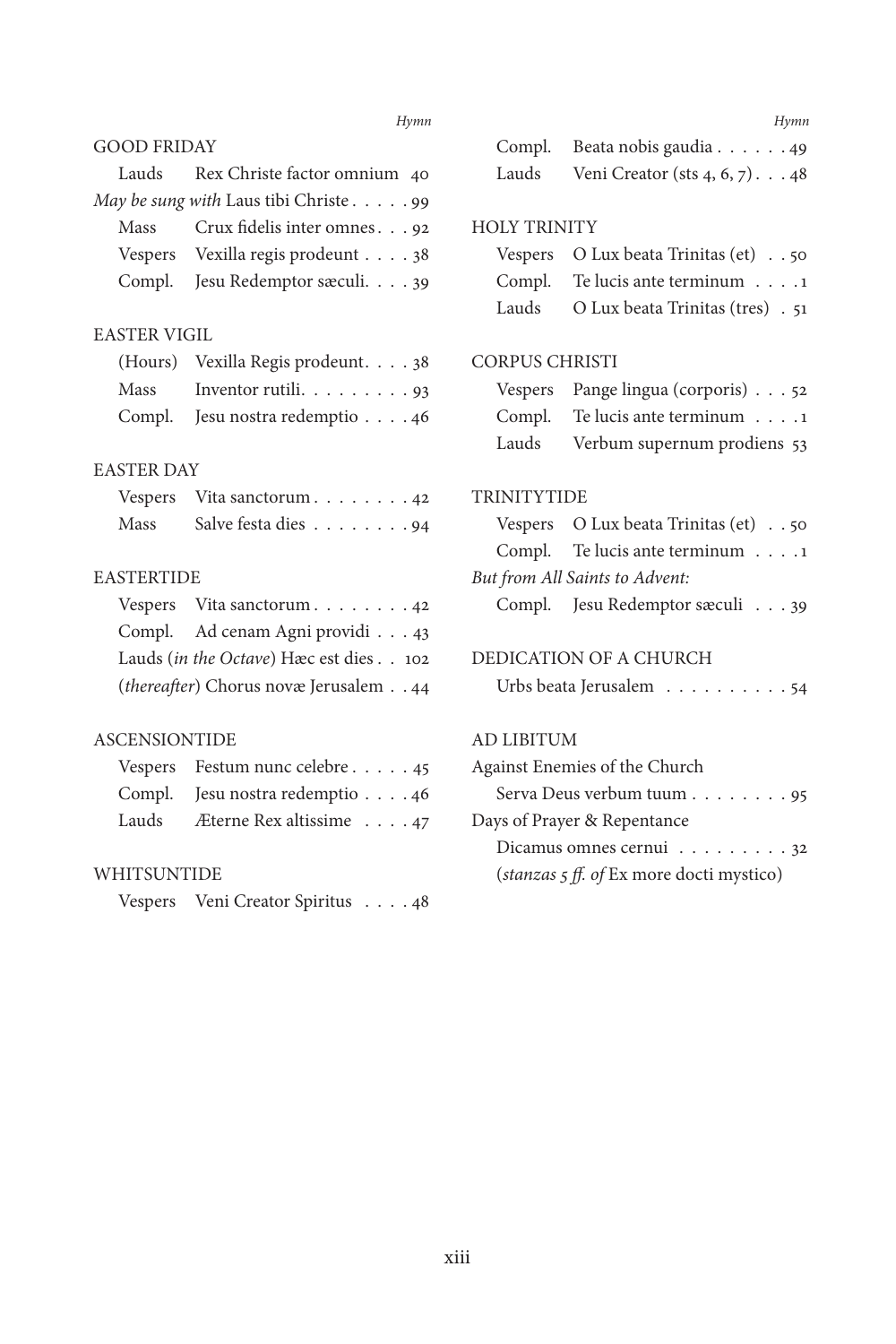|                     | Hymn                                     |                                     |                |
|---------------------|------------------------------------------|-------------------------------------|----------------|
| <b>GOOD FRIDAY</b>  |                                          | Compl.                              | Bea            |
| Lauds               | Rex Christe factor omnium 40             | Lauds                               | Ver            |
|                     | May be sung with Laus tibi Christe. 99   |                                     |                |
| Mass                | Crux fidelis inter omnes. 92             | <b>HOLY TRINITY</b>                 |                |
| <b>Vespers</b>      | Vexilla regis prodeunt 38                | Vespers                             | ΟI             |
| Compl.              | Jesu Redemptor sæculi. 39                | Compl.                              | Te l           |
|                     |                                          | Lauds                               | O <sub>I</sub> |
| <b>EASTER VIGIL</b> |                                          |                                     |                |
| (Hours)             | Vexilla Regis prodeunt. 38               | <b>CORPUS CHRIS</b>                 |                |
| Mass                | Inventor rutili. 93                      | Vespers                             | Par            |
| Compl.              | Jesu nostra redemptio 46                 | Compl.                              | Te l           |
|                     |                                          | Lauds                               | Ver            |
| EASTER DAY          |                                          |                                     |                |
| Vespers             | Vita sanctorum $\ldots \ldots \ldots$ 42 | TRINITYTIDE                         |                |
| Mass                | Salve festa dies 94                      | Vespers                             | ΟI             |
|                     |                                          | Compl.                              | Te l           |
| <b>EASTERTIDE</b>   |                                          | But from All Sain                   |                |
| Vespers             | Vita sanctorum $\ldots \ldots \ldots$ 42 | Compl.                              | Jest           |
| Compl.              | Ad cenam Agni providi 43                 |                                     |                |
|                     | Lauds (in the Octave) Hæc est dies 102   | <b>DEDICATION C</b>                 |                |
|                     | (thereafter) Chorus novæ Jerusalem 44    | Urbs beata Je                       |                |
| ASCENSIONTIDE       |                                          | AD LIBITUM                          |                |
| Vespers             | Festum nunc celebre 45                   | <b>Against Enemies</b>              |                |
| Compl.              | Jesu nostra redemptio 46                 | Serva Deus ve                       |                |
| Lauds               | Æterne Rex altissime 47                  | Days of Prayer &                    |                |
|                     |                                          | Dicamus omr                         |                |
| WHITSUNTIDE         |                                          | $(\text{stanzas } 5 \text{ ff. c})$ |                |
| <b>Vespers</b>      | Veni Creator Spiritus 48                 |                                     |                |
|                     |                                          |                                     |                |
|                     |                                          |                                     |                |
|                     |                                          |                                     |                |
|                     |                                          |                                     |                |
|                     |                                          |                                     |                |
|                     |                                          |                                     |                |
|                     |                                          |                                     |                |

 Hymn eata nobis gaudia . . . . . . 49 eni Creator (sts 4, 6, 7).  $\ldots$  48

| Vespers O Lux beata Trinitas (et). 50  |  |
|----------------------------------------|--|
| Compl. Te lucis ante terminum $\dots$  |  |
| Lauds O Lux beata Trinitas (tres) . 51 |  |

# STI<sub>I</sub>

|       | Vespers Pange lingua (corporis) 52 |  |
|-------|------------------------------------|--|
|       | Compl. Te lucis ante terminum 1    |  |
| Lauds | Verbum supernum prodiens 53        |  |

| Vespers O Lux beata Trinitas (et). 50   |  |  |
|-----------------------------------------|--|--|
| Compl. Te lucis ante terminum $\dots$ . |  |  |
| But from All Saints to Advent:          |  |  |
|                                         |  |  |

su Redemptor sæculi . . . 39

# OF A CHURCH

|  |  |  | Urbs beata Jerusalem 54 |  |  |  |  |  |  |  |  |  |  |  |  |  |
|--|--|--|-------------------------|--|--|--|--|--|--|--|--|--|--|--|--|--|
|--|--|--|-------------------------|--|--|--|--|--|--|--|--|--|--|--|--|--|

| Against Enemies of the Church                  |
|------------------------------------------------|
| Serva Deus verbum tuum 95                      |
| Days of Prayer & Repentance                    |
| Dicamus omnes cernui $\ldots \ldots \ldots$ 32 |
| (stanzas 5 ff. of Ex more docti mystico)       |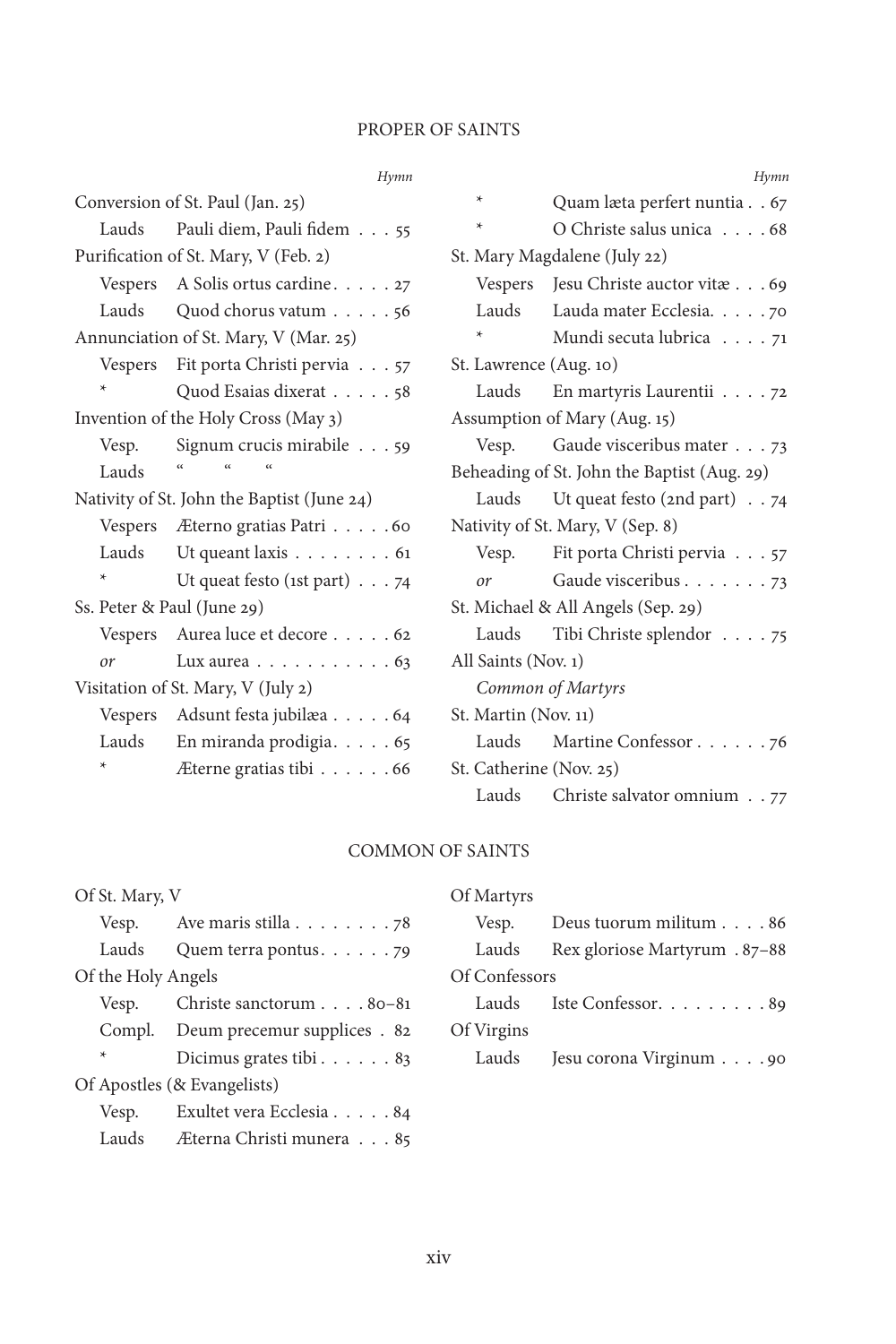# PROPER OF SAINTS

|       | Hymn                                       |
|-------|--------------------------------------------|
|       | Conversion of St. Paul (Jan. 25)           |
|       | Lauds Pauli diem, Pauli fidem 55           |
|       | Purification of St. Mary, V (Feb. 2)       |
|       | Vespers A Solis ortus cardine27            |
|       | Lauds Quod chorus vatum 56                 |
|       | Annunciation of St. Mary, V (Mar. 25)      |
|       | Vespers Fit porta Christi pervia 57        |
| *     | Quod Esaias dixerat 58                     |
|       | Invention of the Holy Cross (May 3)        |
| Vesp. | Signum crucis mirabile 59                  |
| Lauds | $\epsilon$<br>$\alpha$<br>$\alpha$         |
|       | Nativity of St. John the Baptist (June 24) |
|       | Vespers Æterno gratias Patri 60            |
|       | Lauds Ut queant laxis 61                   |
| *     | Ut queat festo (1st part) $\ldots$ 74      |
|       | Ss. Peter & Paul (June 29)                 |
|       | Vespers Aurea luce et decore 62            |
| or    | Lux aurea $\ldots \ldots \ldots \ldots 63$ |
|       | Visitation of St. Mary, V (July 2)         |
|       | Vespers Adsunt festa jubilæa 64            |
|       | Lauds En miranda prodigia. 65              |
| ⊁     | Æterne gratias tibi 66                     |
|       |                                            |

|                                    | Hymn                                        |  |
|------------------------------------|---------------------------------------------|--|
| $\ast$                             | Quam læta perfert nuntia 67                 |  |
| *                                  | O Christe salus unica 68                    |  |
|                                    | St. Mary Magdalene (July 22)                |  |
|                                    | Vespers Jesu Christe auctor vitæ69          |  |
|                                    | Lauds Lauda mater Ecclesia. 70              |  |
| *                                  | Mundi secuta lubrica 71                     |  |
| St. Lawrence (Aug. 10)             |                                             |  |
|                                    | Lauds En martyris Laurentii 72              |  |
| Assumption of Mary (Aug. 15)       |                                             |  |
|                                    | Vesp. Gaude visceribus mater 73             |  |
|                                    | Beheading of St. John the Baptist (Aug. 29) |  |
|                                    | Lauds Ut queat festo (2nd part) 74          |  |
|                                    | Nativity of St. Mary, V (Sep. 8)            |  |
| Vesp.                              | Fit porta Christi pervia 57                 |  |
| or                                 | Gaude visceribus 73                         |  |
| St. Michael & All Angels (Sep. 29) |                                             |  |
|                                    | Lauds Tibi Christe splendor 75              |  |
| All Saints (Nov. 1)                |                                             |  |
|                                    | Common of Martyrs                           |  |
| St. Martin (Nov. 11)               |                                             |  |
|                                    | Lauds Martine Confessor 76                  |  |
| St. Catherine (Nov. 25)            |                                             |  |
|                                    | Lauds Christe salvator omnium 77            |  |

# COMMON OF SAINTS

| Of St. Mary, V     |                                            |
|--------------------|--------------------------------------------|
| Vesp.              | Ave maris stilla $\ldots \ldots \ldots$ 78 |
| Lauds              | Quem terra pontus. 79                      |
| Of the Holy Angels |                                            |
| Vesp.              | Christe sanctorum 80-81                    |
|                    | Compl. Deum precemur supplices . 82        |
| *                  | Dicimus grates tibi 83                     |
|                    | Of Apostles (& Evangelists)                |
| Vesp.              | Exultet vera Ecclesia 84                   |
|                    | Lauds Æterna Christi munera 85             |

| Of Martyrs    |                              |
|---------------|------------------------------|
| Vesp.         | Deus tuorum militum 86       |
| Lauds         | Rex gloriose Martyrum. 87-88 |
| Of Confessors |                              |
|               | Lauds Iste Confessor. 89     |
| Of Virgins    |                              |
| Lauds         | Jesu corona Virginum 90      |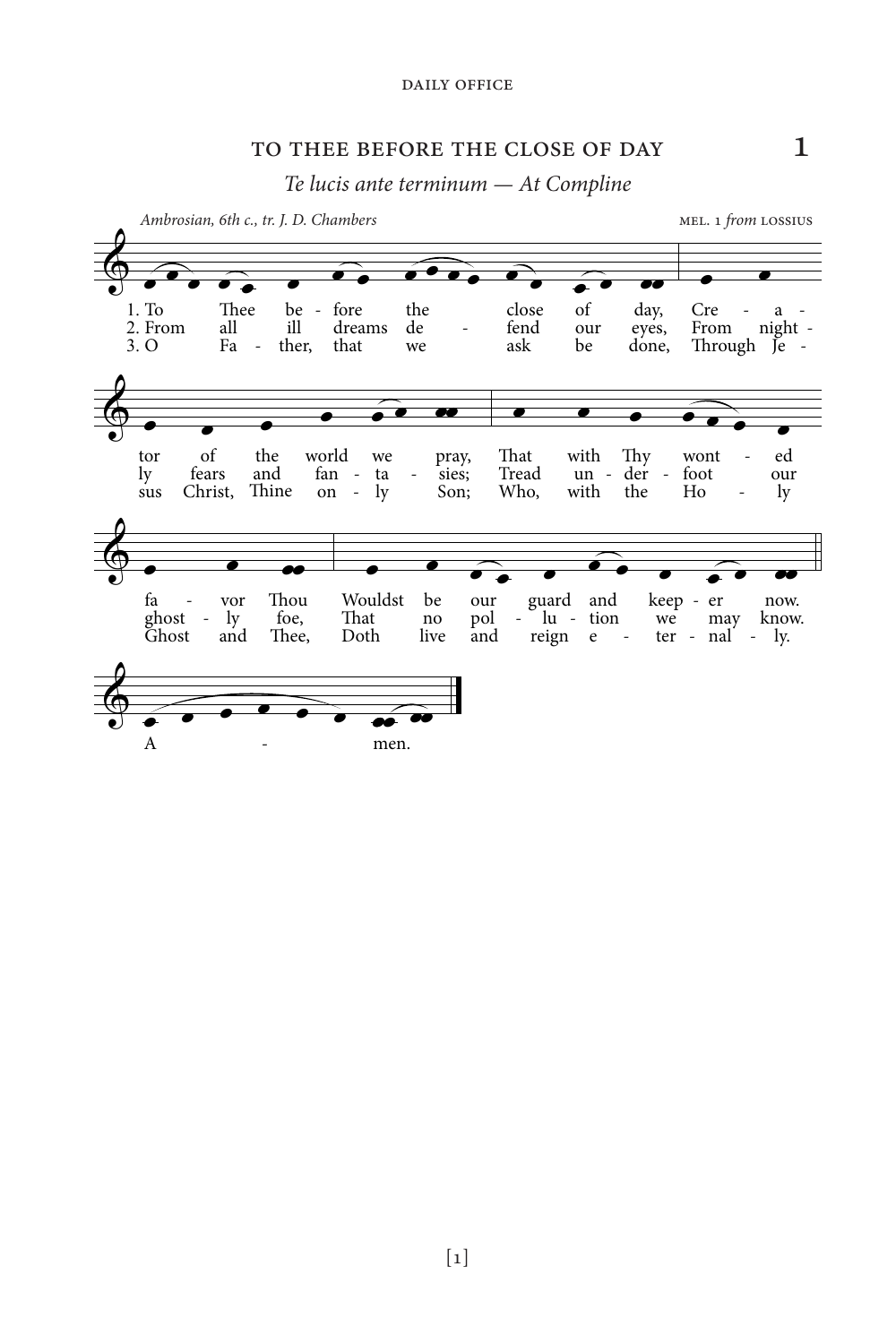#### TO THEE BEFORE THE CLOSE OF DAY

 $\mathbf 1$ 



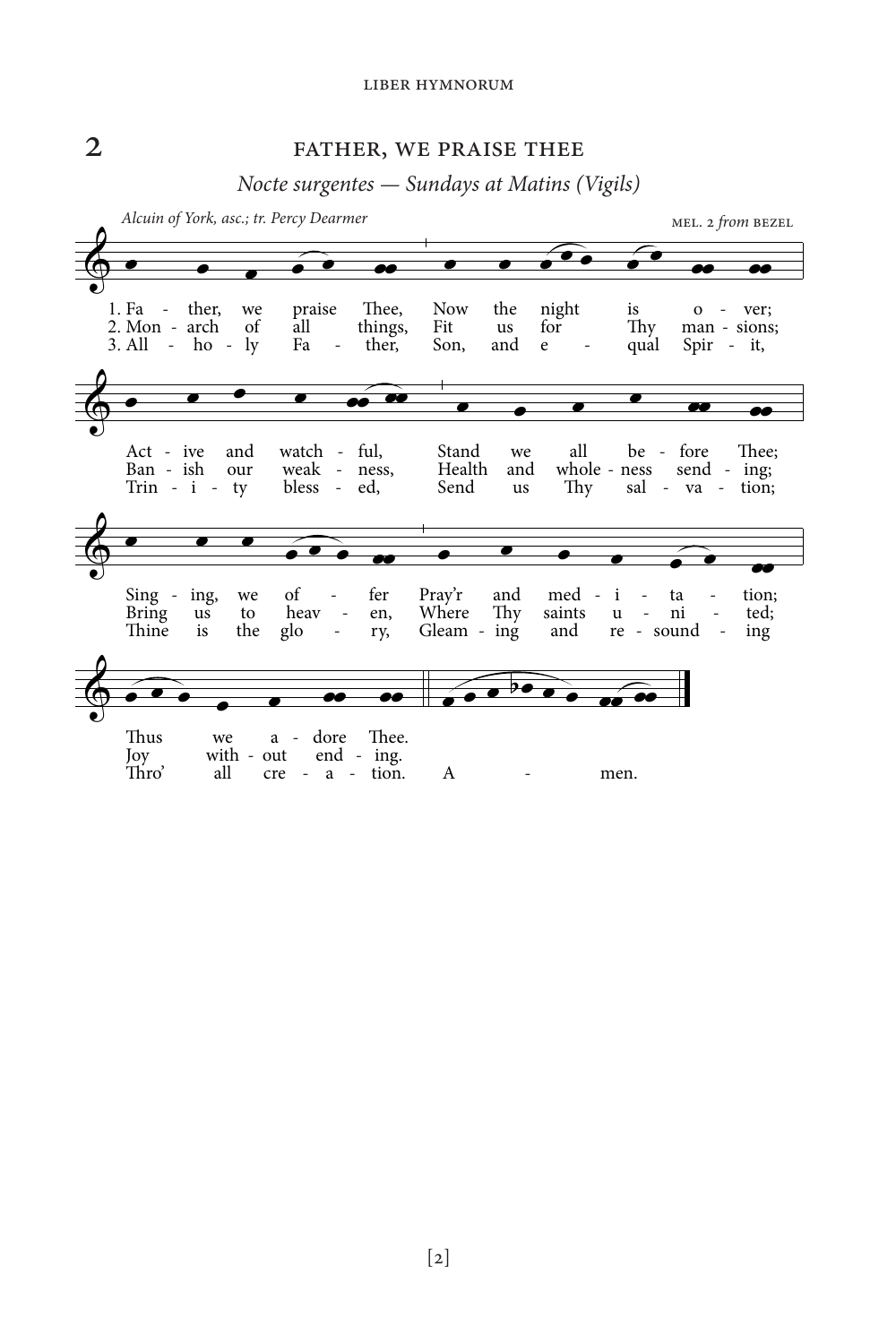$\overline{2}$ 

### FATHER, WE PRAISE THEE

Nocte surgentes - Sundays at Matins (Vigils)

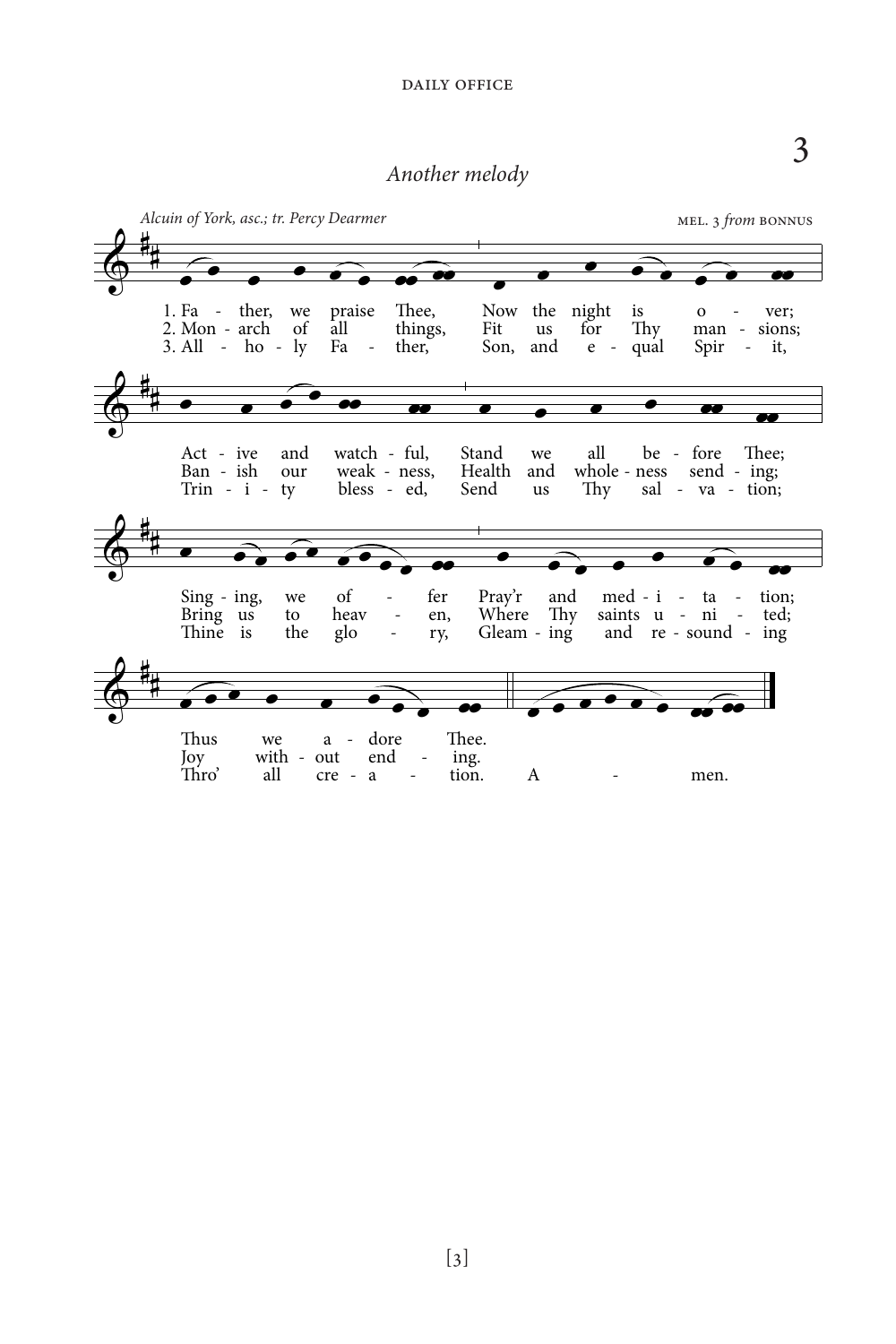Another melody



 $\overline{3}$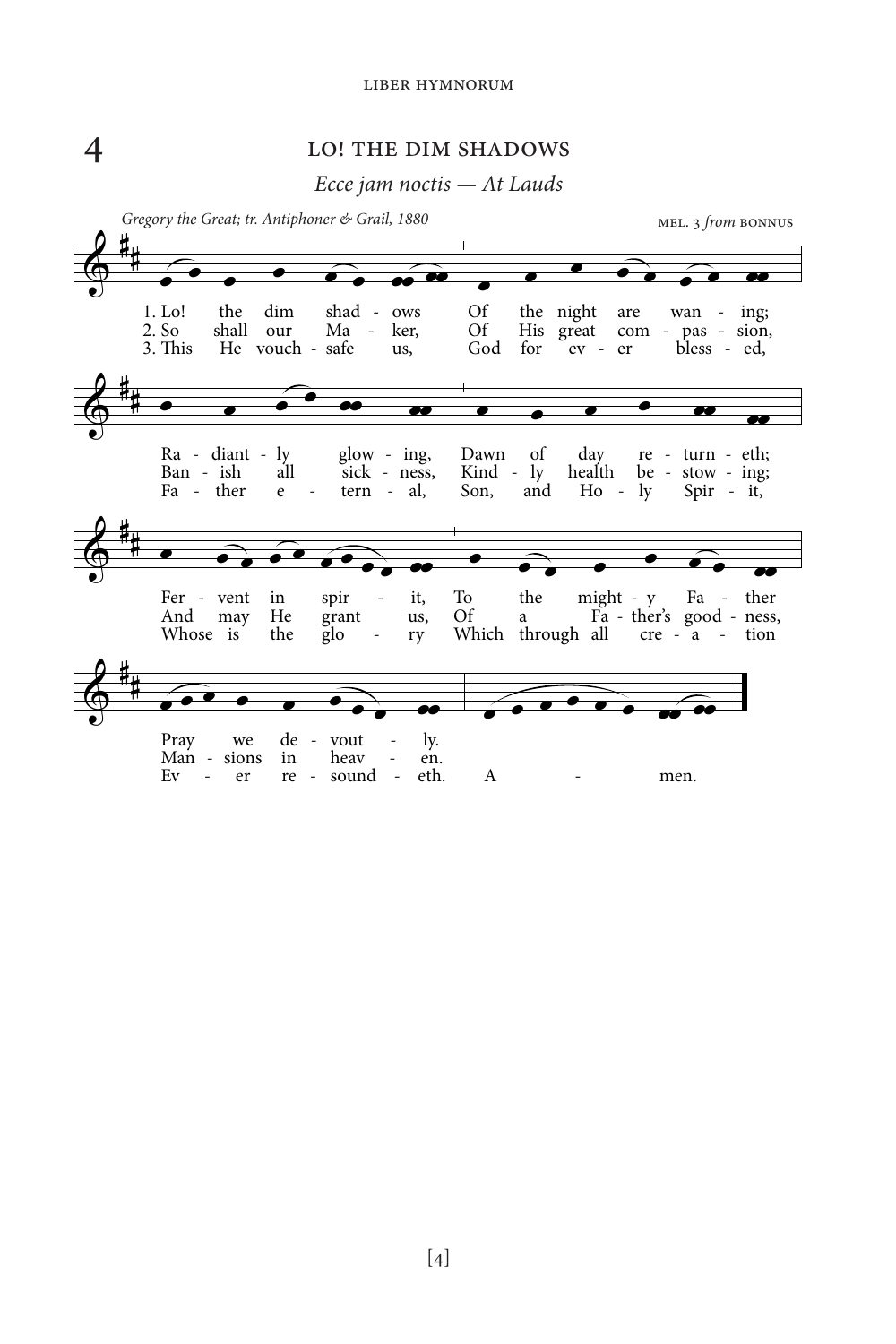# $\overline{4}$

#### **LO! THE DIM SHADOWS**

Ecce jam noctis - At Lauds

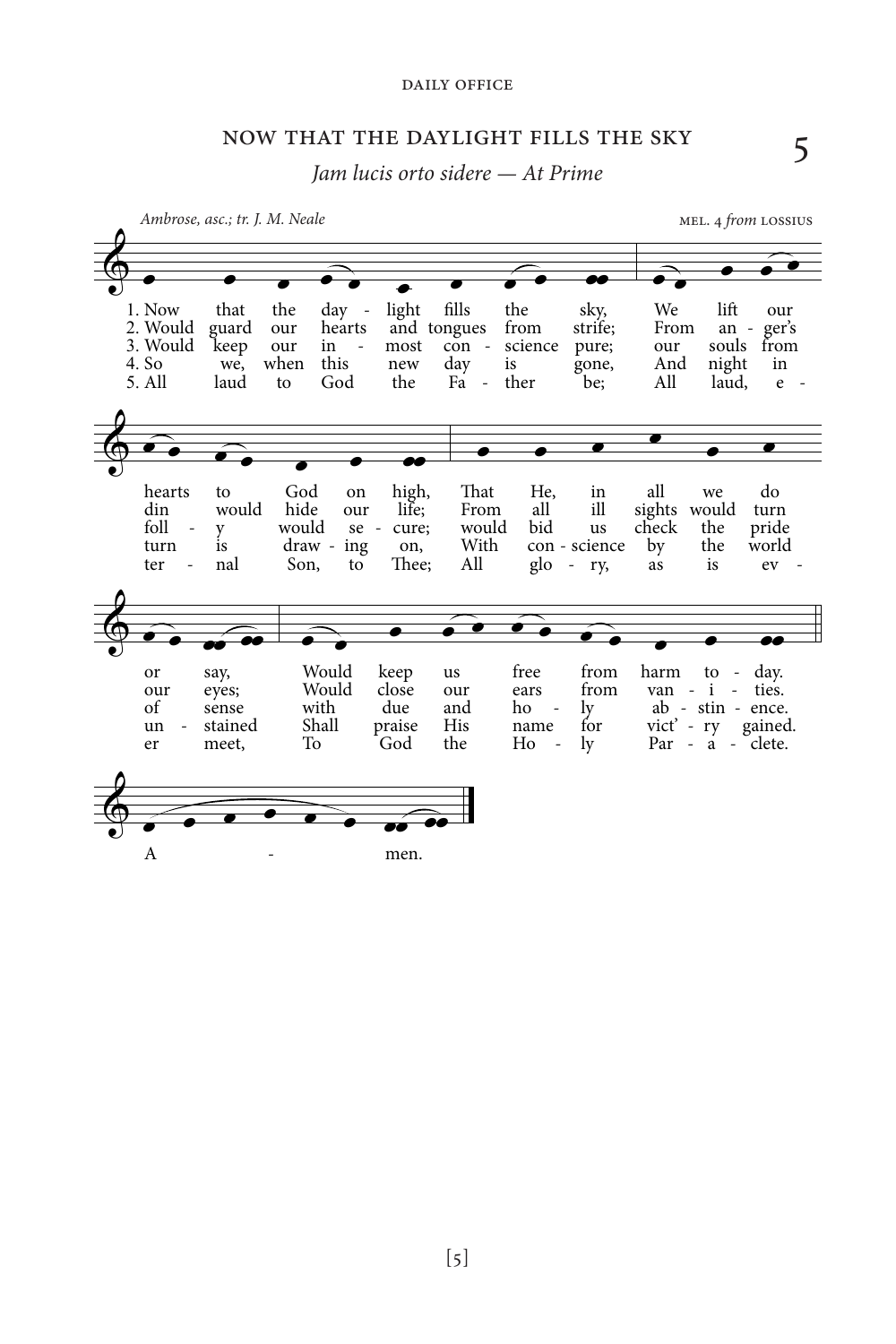#### DAILY OFFICE

# NOW THAT THE DAYLIGHT FILLS THE SKY

Jam lucis orto sidere - At Prime



 $\overline{A}$ men.

5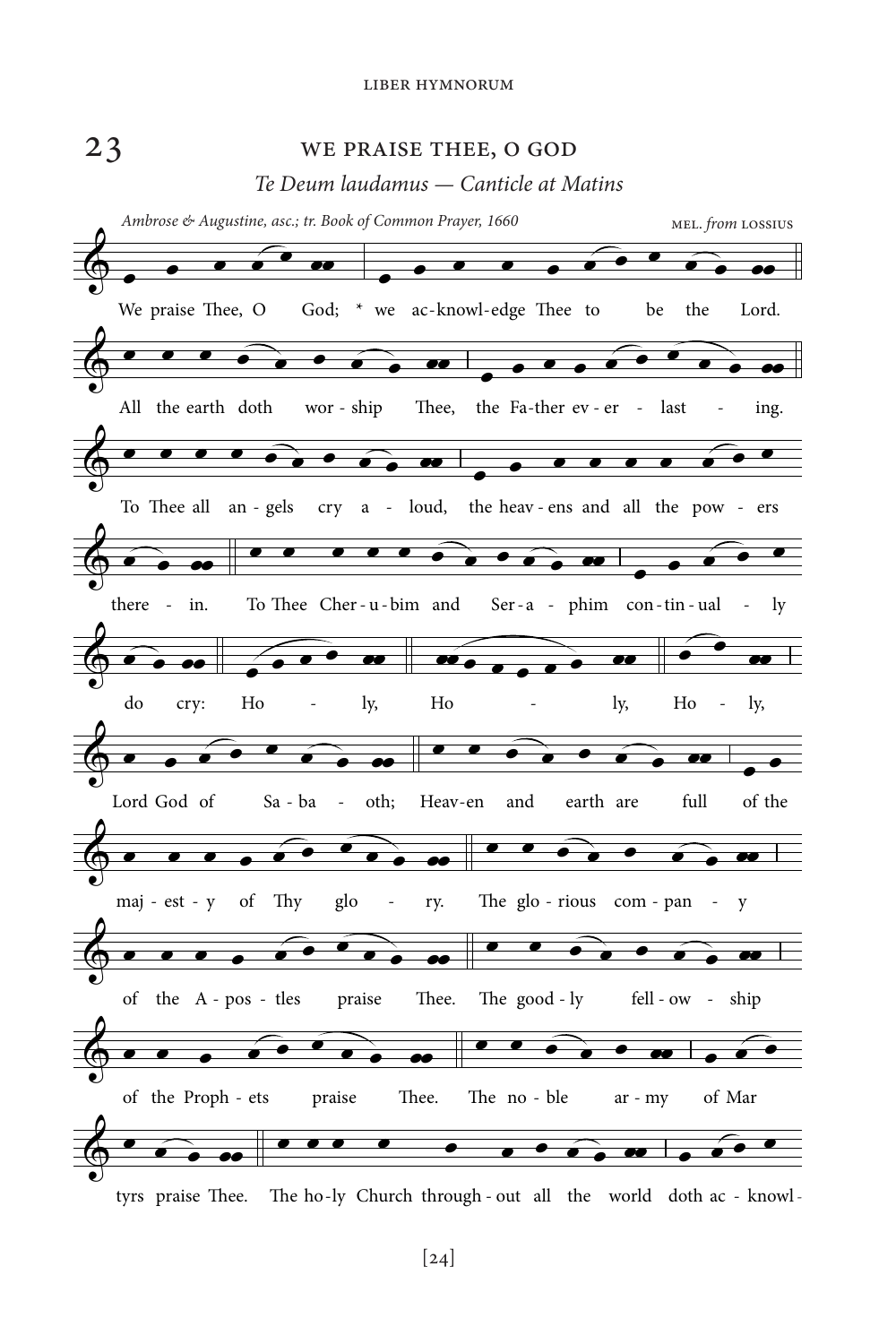

# WE PRAISE THEE, O GOD

Te Deum laudamus - Canticle at Matins

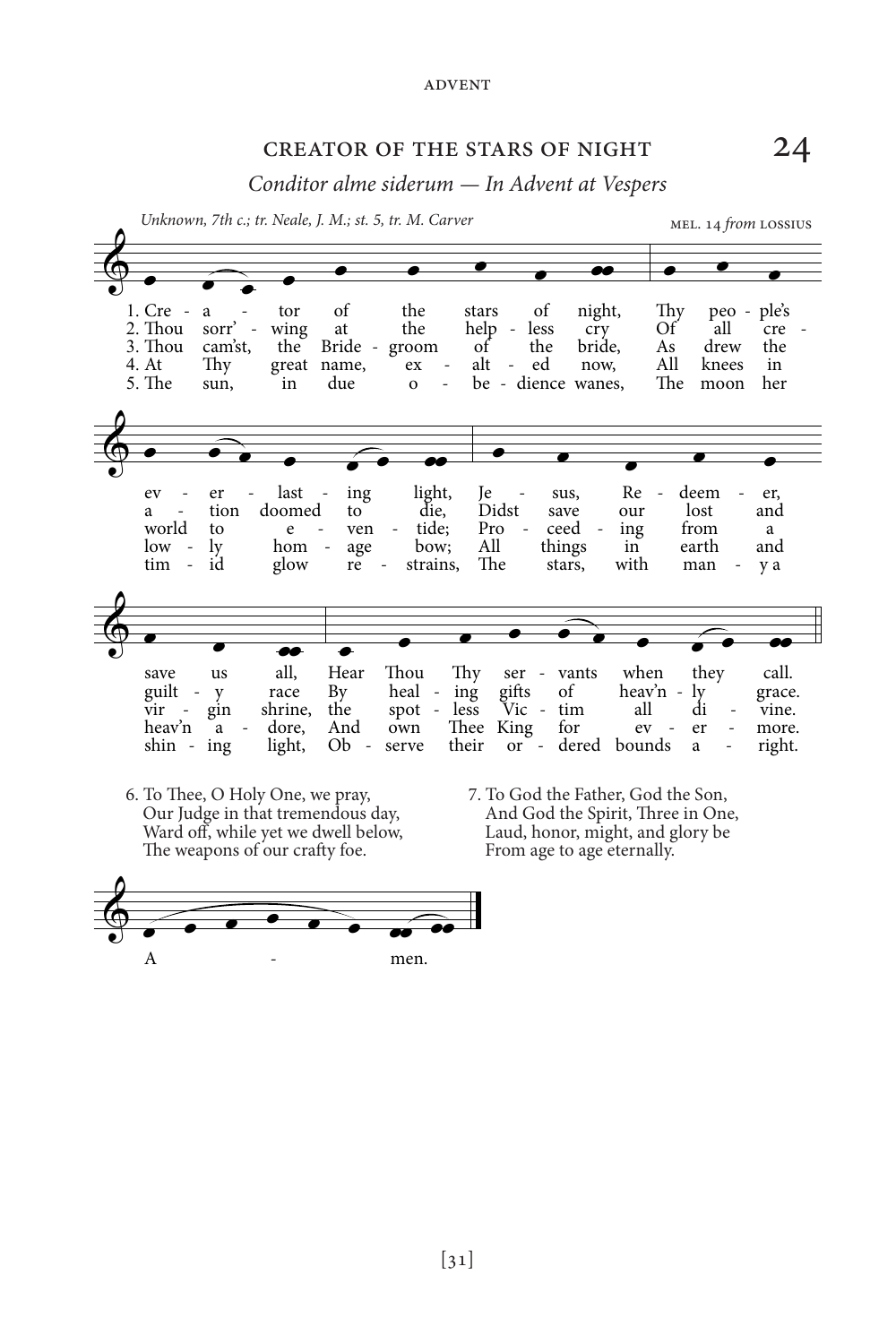#### **CREATOR OF THE STARS OF NIGHT**

Conditor alme siderum — In Advent at Vespers



6. To Thee, O Holy One, we pray, Our Judge in that tremendous day, Ward off, while yet we dwell below, The weapons of our crafty foe.



7. To God the Father, God the Son, And God the Spirit, Three in One, Laud, honor, might, and glory be From age to age eternally.

24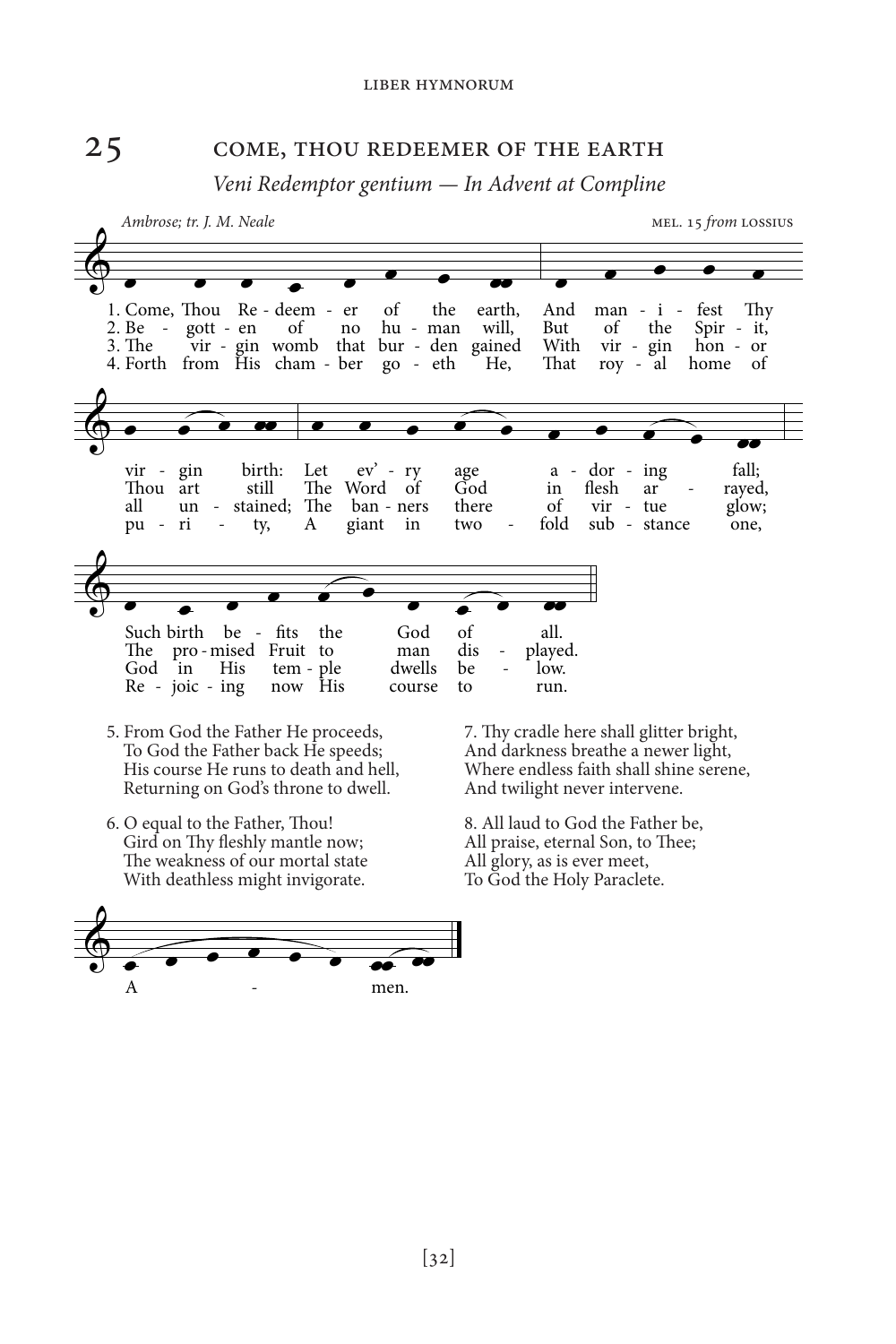25

# COME, THOU REDEEMER OF THE EARTH

Veni Redemptor gentium - In Advent at Compline

| Ambrose; tr. J. M. Neale                                                                                                                                                                                                                                                                                                  | MEL. 15 from LOSSIUS                                                                                                                                                                                                    |
|---------------------------------------------------------------------------------------------------------------------------------------------------------------------------------------------------------------------------------------------------------------------------------------------------------------------------|-------------------------------------------------------------------------------------------------------------------------------------------------------------------------------------------------------------------------|
| Re - deem - er<br>the<br>1. Come, Thou<br>οf<br>2. Be - gott - $en$<br>of<br>no<br>hu - man<br>vir - gin womb that bur - den gained<br>$3.$ The<br>4. Forth from His cham - ber<br>go - eth                                                                                                                               | earth,<br>And<br>fest<br>$man - i -$<br>Thy<br>will,<br>But<br>of<br>the<br>Spir - it,<br>With<br>vir - gin<br>hon - or<br>That<br>roy - al<br>home<br>οf<br>He,                                                        |
| birth:<br>Let<br>$vir$ -<br>gin<br>$ev' - ry$<br>The Word<br>art<br>still<br>Thou<br>οf<br>The<br>all<br>stained:<br>$un -$<br>ban - ners<br>ri<br>A<br>giant<br>in<br>pu -<br>ty,                                                                                                                                        | fall;<br>$a - dor - ing$<br>age<br>flesh<br>God<br>in<br>ar<br>rayed,<br>of<br>vir - tue<br>there<br>glow;<br>fold<br>sub - stance<br>two<br>one,                                                                       |
| be - fits<br>Such birth<br>the<br>God<br>pro-mised Fruit to<br>The<br>man<br>dwells<br>God<br>His<br>tem - ple<br>in<br>$Re - j_0$ - ing<br>now His<br>course<br>5. From God the Father He proceeds,<br>To God the Father back He speeds;<br>His course He runs to death and hell.<br>Returning on God's throne to dwell. | of<br>all.<br>dis<br>played.<br>low.<br>be<br>to<br>run.<br>7. Thy cradle here shall glitter bright,<br>And darkness breathe a newer light,<br>Where endless faith shall shine serene,<br>And twilight never intervene. |
| 6. O equal to the Father, Thou!<br>Gird on Thy fleshly mantle now;<br>The weakness of our mortal state<br>With deathless might invigorate.                                                                                                                                                                                | 8. All laud to God the Father be,<br>All praise, eternal Son, to Thee;<br>All glory, as is ever meet,<br>To God the Holy Paraclete.                                                                                     |
| А<br>men.                                                                                                                                                                                                                                                                                                                 |                                                                                                                                                                                                                         |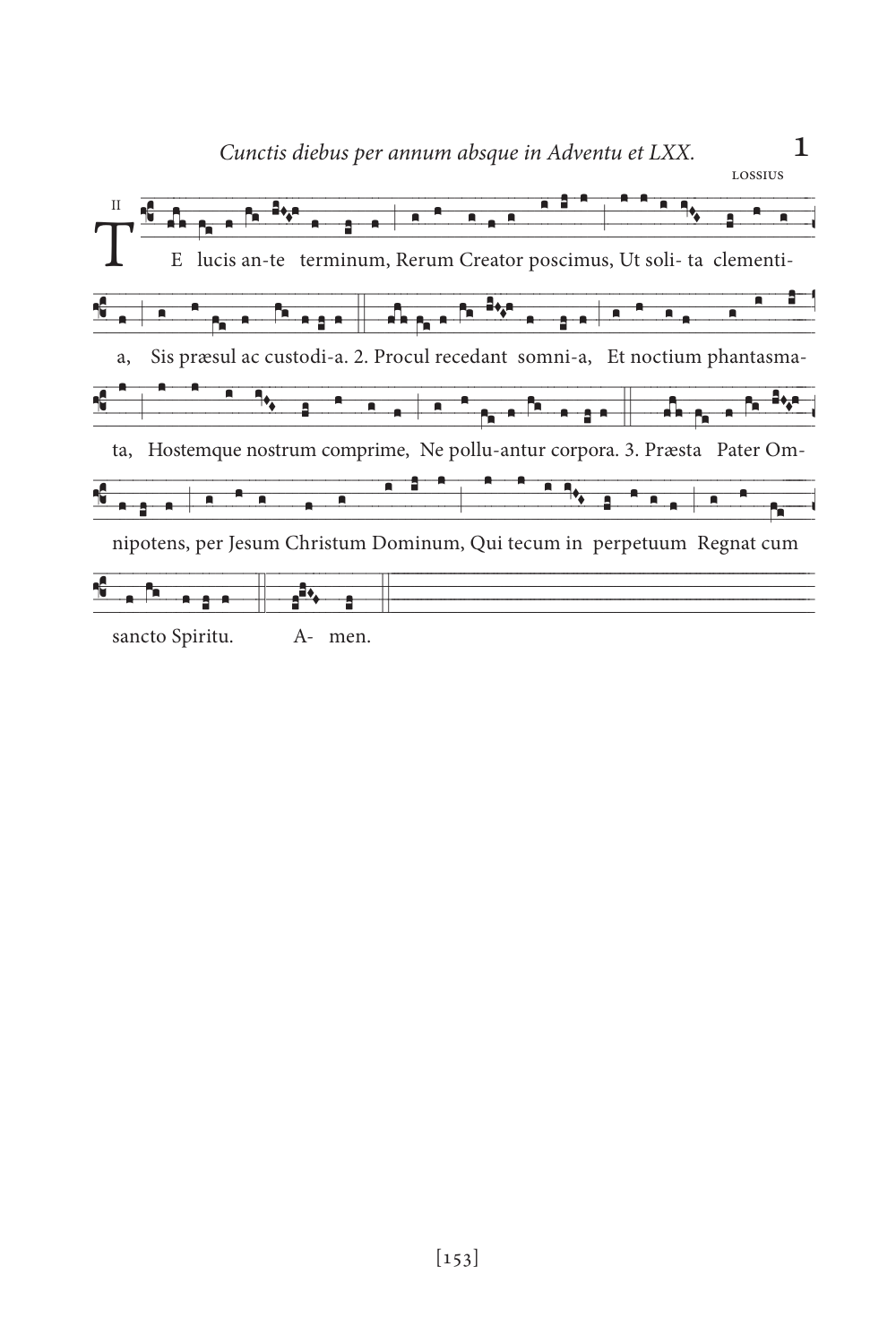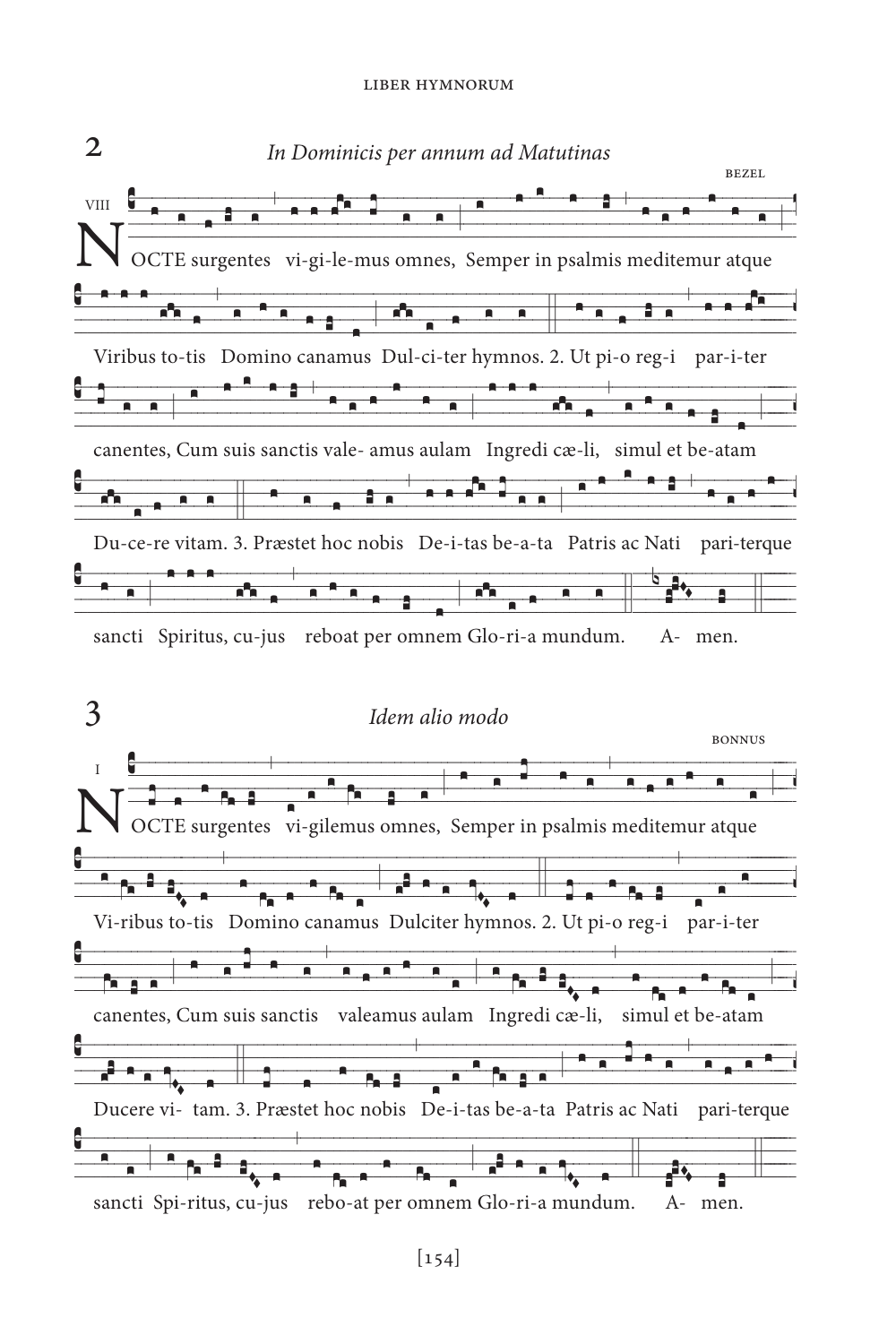

canentes, Cum suis sanctis valeamus aulam Ingredi cæ-li, simul et be-atam Ducere vi- tam. 3. Præstet hoc nobis De-i-tas be-a-ta Patris ac Nati pari-terque 

sancti Spi-ritus, cu-jus rebo-at per omnem Glo-ri-a mundum. A- men.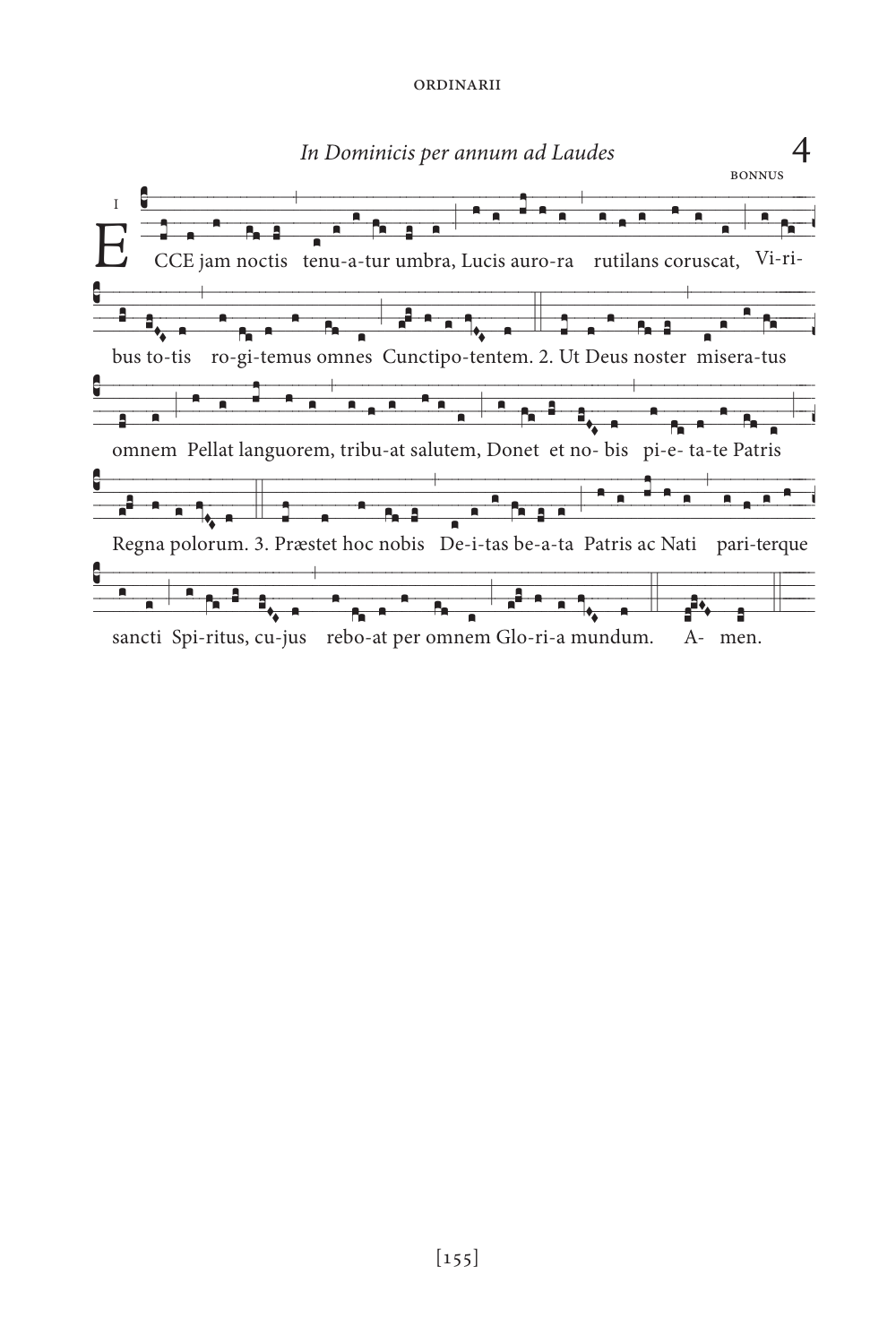#### ORDINARII

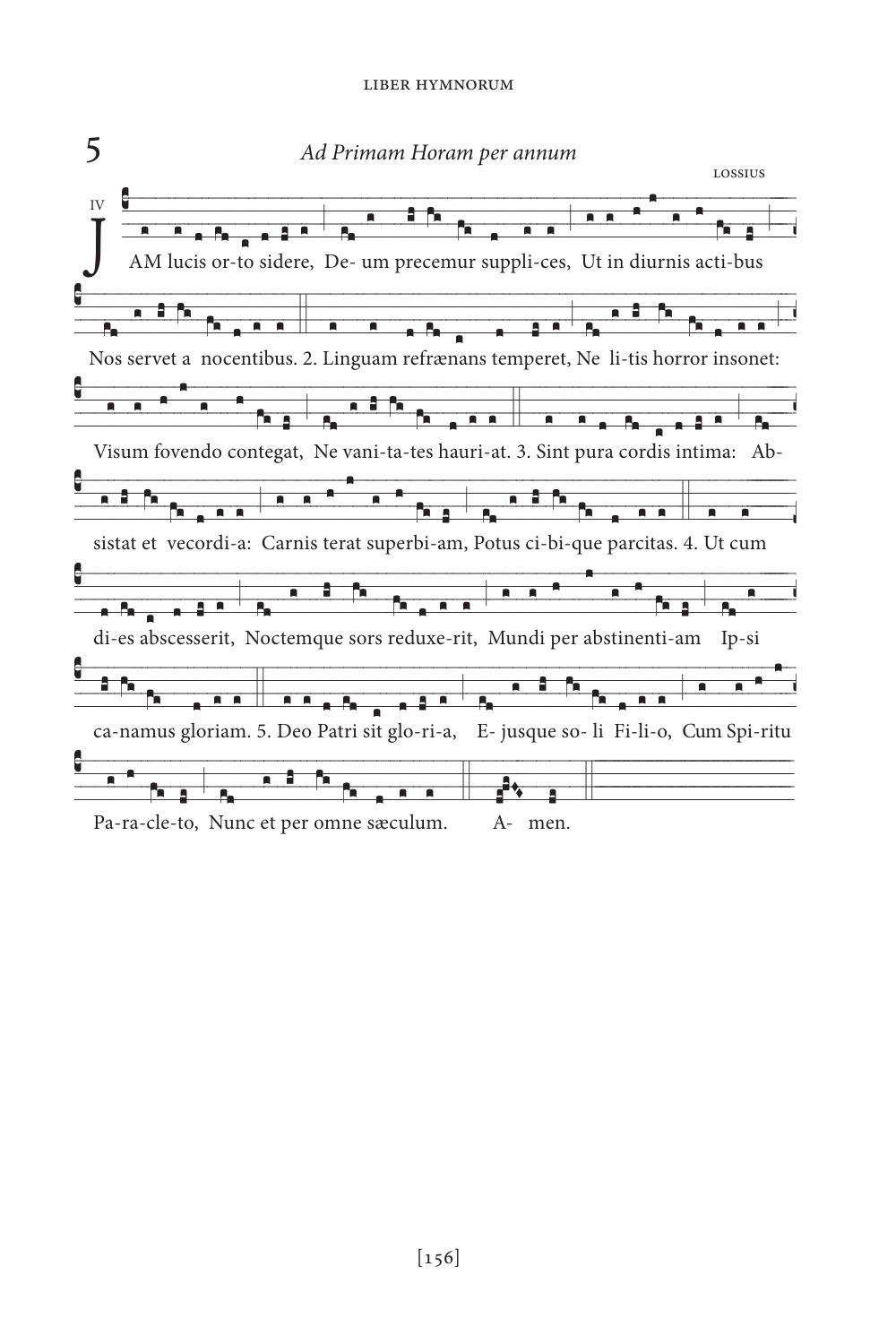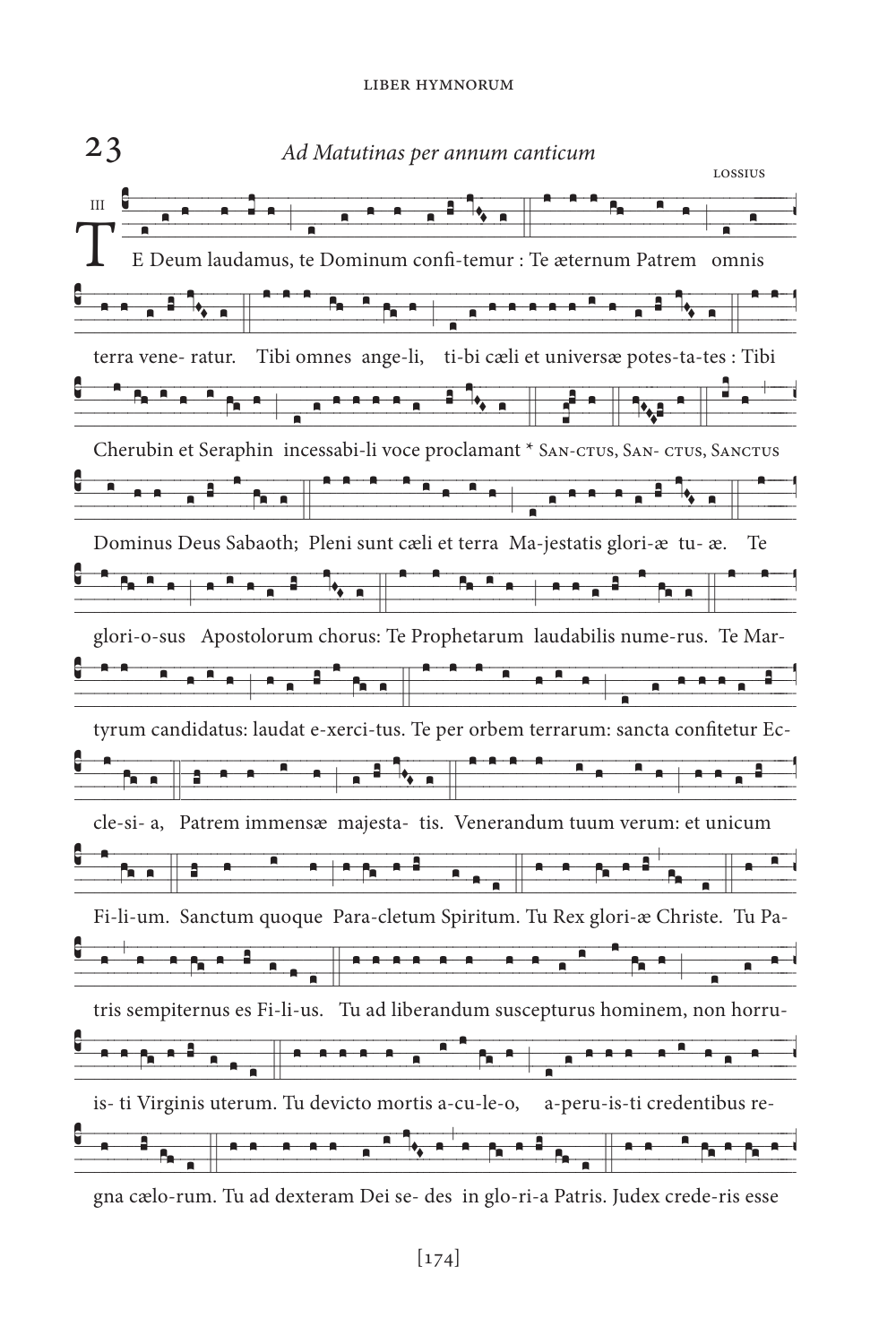$2<sub>3</sub>$ Ad Matutinas per annum canticum **LOSSILIS** E Deum laudamus, te Dominum confi-temur : Te æternum Patrem omnis <u>Gee a<sup>n</sup>te and a series and a straight</u> terra vene- ratur. Tibi omnes ange-li, ti-bi cæli et universæ potes-ta-tes : Tibi Cherubin et Seraphin incessabi-li voce proclamant \* SAN-CTUS, SAN-CTUS, SANCTUS Dominus Deus Sabaoth; Pleni sunt cæli et terra Ma-jestatis glori-æ tu- æ. Te glori-o-sus Apostolorum chorus: Te Prophetarum laudabilis nume-rus. Te Mar-tyrum candidatus: laudat e-xerci-tus. Te per orbem terrarum: sancta confitetur Ec-<u> Paa Baaraa aa aa aa aa aa aa aa aa aa aa aan amaan ah aa aan amaan ah aa aan amaan ah aan amaan ah aan amaan a</u> cle-si- a, Patrem immensæ majesta- tis. Venerandum tuum verum: et unicum Fi-li-um. Sanctum quoque Para-cletum Spiritum. Tu Rex glori-æ Christe. Tu Pa-tris sempiternus es Fi-li-us. Tu ad liberandum suscepturus hominem, non horru-is- ti Virginis uterum. Tu devicto mortis a-cu-le-o, a-peru-is-ti credentibus re-<u>C a â<sub>p</sub> de e e e a <sup>a î</sup>çe e pe â <sub>în</sub> de e <sup>a</sup> pe în e-</u>

gna cælo-rum. Tu ad dexteram Dei se- des in glo-ri-a Patris. Judex crede-ris esse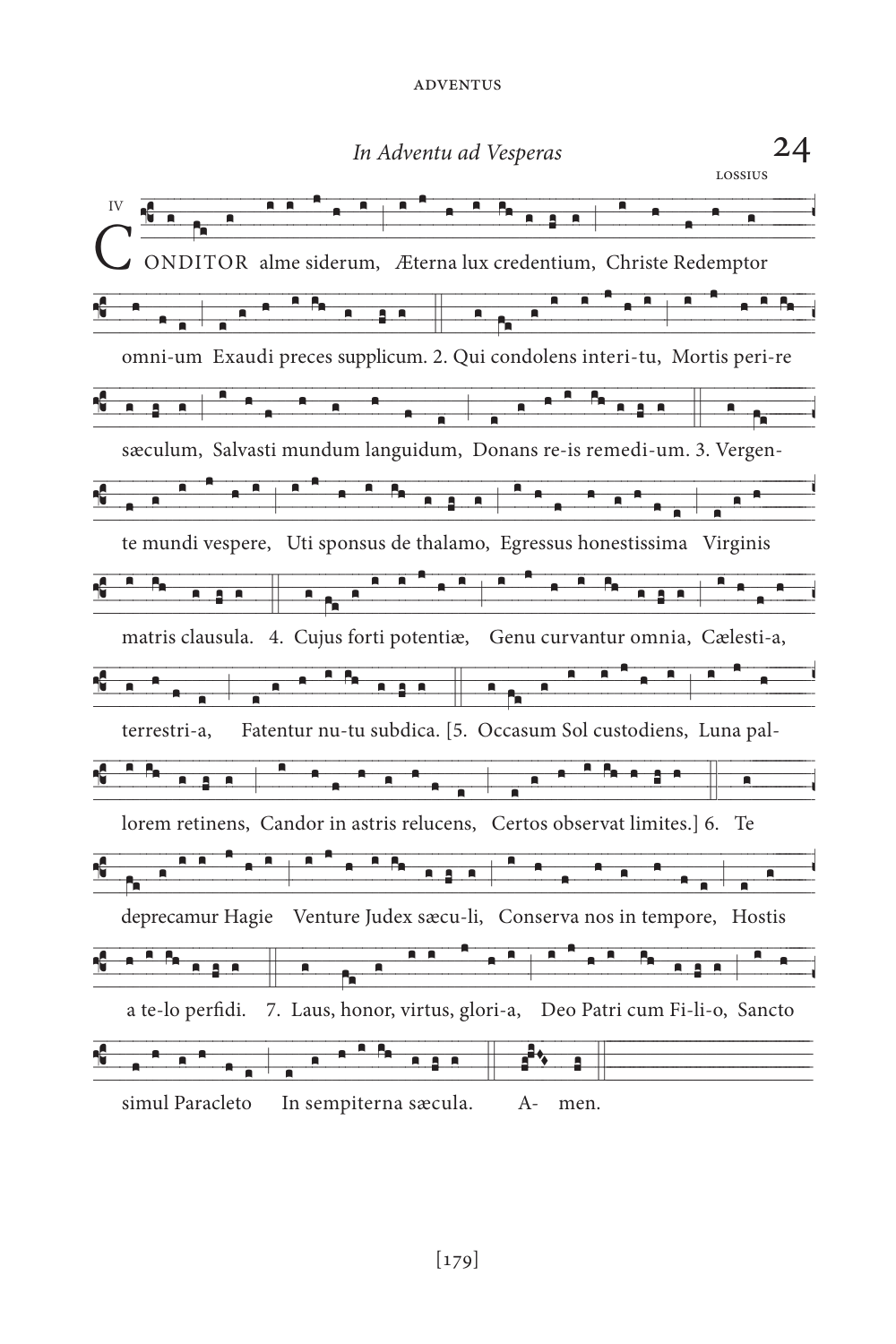#### **ADVENTUS**

24 In Adventu ad Vesperas **LOSSIUS** ONDITOR alme siderum, Æterna lux credentium, Christe Redemptor omni-um Exaudi preces supplicum. 2. Qui condolens interi-tu, Mortis peri-re sæculum, Salvasti mundum languidum, Donans re-is remedi-um. 3. Vergen-<u>a <sup>2</sup> a <sup>2</sup> a <sup>2</sup> a <sup>2</sup> a 2 <sup>3</sup> a 2 <sup>3</sup> a <sup>2</sup> a <sup>2</sup> a <sup>2</sup> a <sup>2</sup> a <sup>2</sup></u> te mundi vespere, Uti sponsus de thalamo, Egressus honestissima Virginis matris clausula. 4. Cujus forti potentiæ, Genu curvantur omnia, Cælesti-a, terrestri-a, Fatentur nu-tu subdica. [5. Occasum Sol custodiens, Luna pal-lorem retinens, Candor in astris relucens, Certos observat limites.] 6. Te <u>AAAAAAAAAAAAAAAA</u> deprecamur Hagie Venture Judex sæcu-li, Conserva nos in tempore, Hostis a te-lo perfidi. 7. Laus, honor, virtus, glori-a, Deo Patri cum Fi-li-o, Sancto € simul Paracleto In sempiterna sæcula. A- men.